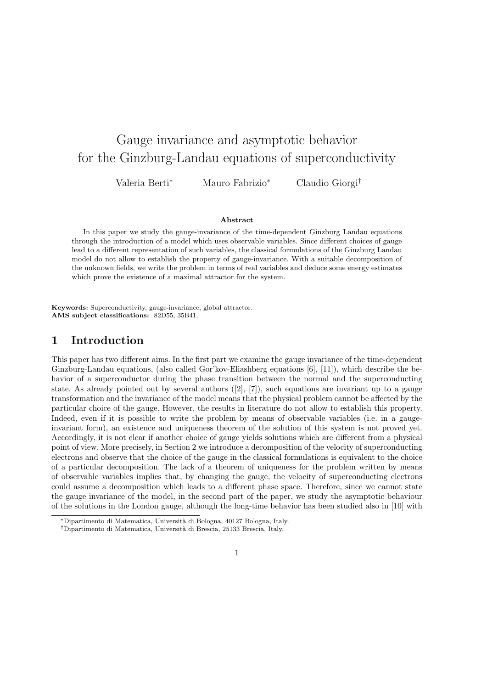# Gauge invariance and asymptotic behavior for the Ginzburg-Landau equations of superconductivity

Valeria Berti<sup>∗</sup> Mauro Fabrizio<sup>∗</sup> Claudio Giorgi†

#### Abstract

In this paper we study the gauge-invariance of the time-dependent Ginzburg Landau equations through the introduction of a model which uses observable variables. Since different choices of gauge lead to a different representation of such variables, the classical formulations of the Ginzburg Landau model do not allow to establish the property of gauge-invariance. With a suitable decomposition of the unknown fields, we write the problem in terms of real variables and deduce some energy estimates which prove the existence of a maximal attractor for the system.

Keywords: Superconductivity, gauge-invariance, global attractor. AMS subject classifications: 82D55, 35B41.

#### 1 Introduction

This paper has two different aims. In the first part we examine the gauge invariance of the time-dependent Ginzburg-Landau equations, (also called Gor'kov-Eliashberg equations [6], [11]), which describe the behavior of a superconductor during the phase transition between the normal and the superconducting state. As already pointed out by several authors  $([2], [7])$ , such equations are invariant up to a gauge transformation and the invariance of the model means that the physical problem cannot be affected by the particular choice of the gauge. However, the results in literature do not allow to establish this property. Indeed, even if it is possible to write the problem by means of observable variables (i.e. in a gaugeinvariant form), an existence and uniqueness theorem of the solution of this system is not proved yet. Accordingly, it is not clear if another choice of gauge yields solutions which are different from a physical point of view. More precisely, in Section 2 we introduce a decomposition of the velocity of superconducting electrons and observe that the choice of the gauge in the classical formulations is equivalent to the choice of a particular decomposition. The lack of a theorem of uniqueness for the problem written by means of observable variables implies that, by changing the gauge, the velocity of superconducting electrons could assume a decomposition which leads to a different phase space. Therefore, since we cannot state the gauge invariance of the model, in the second part of the paper, we study the asymptotic behaviour of the solutions in the London gauge, although the long-time behavior has been studied also in [10] with

<sup>∗</sup>Dipartimento di Matematica, Universit`a di Bologna, 40127 Bologna, Italy.

<sup>†</sup>Dipartimento di Matematica, Universit`a di Brescia, 25133 Brescia, Italy.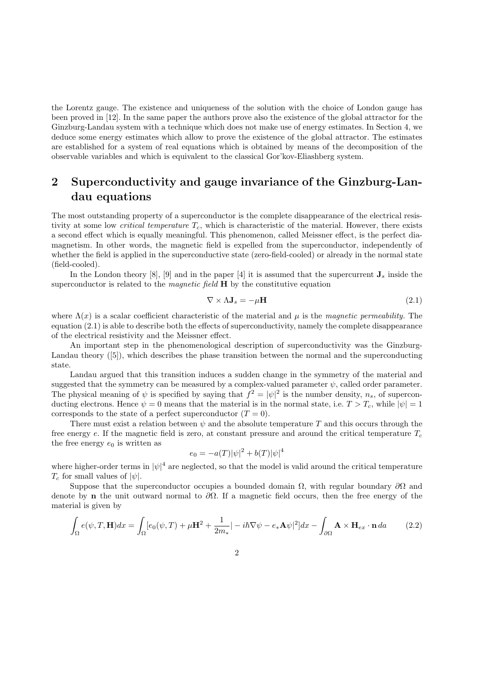the Lorentz gauge. The existence and uniqueness of the solution with the choice of London gauge has been proved in [12]. In the same paper the authors prove also the existence of the global attractor for the Ginzburg-Landau system with a technique which does not make use of energy estimates. In Section 4, we deduce some energy estimates which allow to prove the existence of the global attractor. The estimates are established for a system of real equations which is obtained by means of the decomposition of the observable variables and which is equivalent to the classical Gor'kov-Eliashberg system.

## 2 Superconductivity and gauge invariance of the Ginzburg-Landau equations

The most outstanding property of a superconductor is the complete disappearance of the electrical resistivity at some low *critical temperature*  $T_c$ , which is characteristic of the material. However, there exists a second effect which is equally meaningful. This phenomenon, called Meissner effect, is the perfect diamagnetism. In other words, the magnetic field is expelled from the superconductor, independently of whether the field is applied in the superconductive state (zero-field-cooled) or already in the normal state (field-cooled).

In the London theory [8], [9] and in the paper [4] it is assumed that the supercurrent  $\mathbf{J}_s$  inside the superconductor is related to the *magnetic field*  $\bf{H}$  by the constitutive equation

$$
\nabla \times \Lambda \mathbf{J}_s = -\mu \mathbf{H} \tag{2.1}
$$

where  $\Lambda(x)$  is a scalar coefficient characteristic of the material and  $\mu$  is the magnetic permeability. The equation (2.1) is able to describe both the effects of superconductivity, namely the complete disappearance of the electrical resistivity and the Meissner effect.

An important step in the phenomenological description of superconductivity was the Ginzburg-Landau theory ([5]), which describes the phase transition between the normal and the superconducting state.

Landau argued that this transition induces a sudden change in the symmetry of the material and suggested that the symmetry can be measured by a complex-valued parameter  $\psi$ , called order parameter. The physical meaning of  $\psi$  is specified by saying that  $f^2 = |\psi|^2$  is the number density,  $n_s$ , of superconducting electrons. Hence  $\psi = 0$  means that the material is in the normal state, i.e.  $T > T_c$ , while  $|\psi| = 1$ corresponds to the state of a perfect superconductor  $(T = 0)$ .

There must exist a relation between  $\psi$  and the absolute temperature T and this occurs through the free energy e. If the magnetic field is zero, at constant pressure and around the critical temperature  $T_c$ the free energy  $e_0$  is written as

$$
e_0 = -a(T)|\psi|^2 + b(T)|\psi|^4
$$

where higher-order terms in  $|\psi|^4$  are neglected, so that the model is valid around the critical temperature  $T_c$  for small values of  $|\psi|$ .

Suppose that the superconductor occupies a bounded domain  $\Omega$ , with regular boundary  $\partial\Omega$  and denote by **n** the unit outward normal to  $\partial\Omega$ . If a magnetic field occurs, then the free energy of the material is given by

$$
\int_{\Omega} e(\psi, T, \mathbf{H}) dx = \int_{\Omega} [e_0(\psi, T) + \mu \mathbf{H}^2 + \frac{1}{2m_*} | -i\hbar \nabla \psi - e_* \mathbf{A} \psi |^2] dx - \int_{\partial \Omega} \mathbf{A} \times \mathbf{H}_{ex} \cdot \mathbf{n} da \tag{2.2}
$$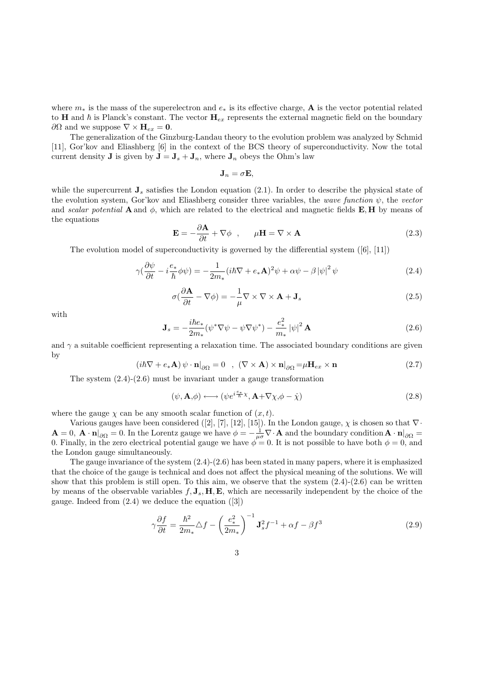where  $m_*$  is the mass of the superelectron and  $e_*$  is its effective charge, **A** is the vector potential related to H and  $\hbar$  is Planck's constant. The vector  $H_{ex}$  represents the external magnetic field on the boundary ∂Ω and we suppose  $\nabla \times \mathbf{H}_{ex} = \mathbf{0}$ .

The generalization of the Ginzburg-Landau theory to the evolution problem was analyzed by Schmid [11], Gor'kov and Eliashberg [6] in the context of the BCS theory of superconductivity. Now the total current density **J** is given by  $\mathbf{J} = \mathbf{J}_s + \mathbf{J}_n$ , where  $\mathbf{J}_n$  obeys the Ohm's law

$$
\mathbf{J}_n = \sigma \mathbf{E},
$$

while the supercurrent  $J_s$  satisfies the London equation (2.1). In order to describe the physical state of the evolution system, Gor'kov and Eliashberg consider three variables, the wave function  $\psi$ , the vector and scalar potential A and  $\phi$ , which are related to the electrical and magnetic fields E, H by means of the equations

$$
\mathbf{E} = -\frac{\partial \mathbf{A}}{\partial t} + \nabla \phi \quad , \qquad \mu \mathbf{H} = \nabla \times \mathbf{A} \tag{2.3}
$$

The evolution model of superconductivity is governed by the differential system  $([6], [11])$ 

$$
\gamma(\frac{\partial \psi}{\partial t} - i\frac{e_*}{\hbar} \phi \psi) = -\frac{1}{2m_*} (i\hbar \nabla + e_* \mathbf{A})^2 \psi + \alpha \psi - \beta |\psi|^2 \psi \tag{2.4}
$$

$$
\sigma(\frac{\partial \mathbf{A}}{\partial t} - \nabla \phi) = -\frac{1}{\mu} \nabla \times \nabla \times \mathbf{A} + \mathbf{J}_s
$$
\n(2.5)

with

$$
\mathbf{J}_s = -\frac{i\hbar e_*}{2m_*} (\psi^* \nabla \psi - \psi \nabla \psi^*) - \frac{e_*^2}{m_*} |\psi|^2 \mathbf{A}
$$
 (2.6)

and  $\gamma$  a suitable coefficient representing a relaxation time. The associated boundary conditions are given by

$$
(i\hbar \nabla + e_{*} \mathbf{A}) \psi \cdot \mathbf{n}|_{\partial \Omega} = 0 \quad , \quad (\nabla \times \mathbf{A}) \times \mathbf{n}|_{\partial \Omega} = \mu \mathbf{H}_{ex} \times \mathbf{n} \tag{2.7}
$$

The system  $(2.4)-(2.6)$  must be invariant under a gauge transformation

$$
(\psi, \mathbf{A}, \phi) \longleftrightarrow (\psi e^{i\frac{e_{*}}{\hbar}\chi}, \mathbf{A} + \nabla\chi, \phi - \dot{\chi})
$$
\n(2.8)

where the gauge  $\chi$  can be any smooth scalar function of  $(x, t)$ .

Various gauges have been considered ([2], [7], [12], [15]). In the London gauge,  $\chi$  is chosen so that  $\nabla \cdot$  $\mathbf{A} = 0$ ,  $\mathbf{A} \cdot \mathbf{n}|_{\partial\Omega} = 0$ . In the Lorentz gauge we have  $\phi = -\frac{1}{\mu\sigma} \nabla \cdot \mathbf{A}$  and the boundary condition  $\mathbf{A} \cdot \mathbf{n}|_{\partial\Omega} =$ 0. Finally, in the zero electrical potential gauge we have  $\phi = 0$ . It is not possible to have both  $\phi = 0$ , and the London gauge simultaneously.

The gauge invariance of the system  $(2.4)-(2.6)$  has been stated in many papers, where it is emphasized that the choice of the gauge is technical and does not affect the physical meaning of the solutions. We will show that this problem is still open. To this aim, we observe that the system  $(2.4)-(2.6)$  can be written by means of the observable variables  $f, J_s, H, E$ , which are necessarily independent by the choice of the gauge. Indeed from  $(2.4)$  we deduce the equation  $([3])$ 

$$
\gamma \frac{\partial f}{\partial t} = \frac{\hbar^2}{2m_*} \Delta f - \left(\frac{e_*^2}{2m_*}\right)^{-1} \mathbf{J}_s^2 f^{-1} + \alpha f - \beta f^3 \tag{2.9}
$$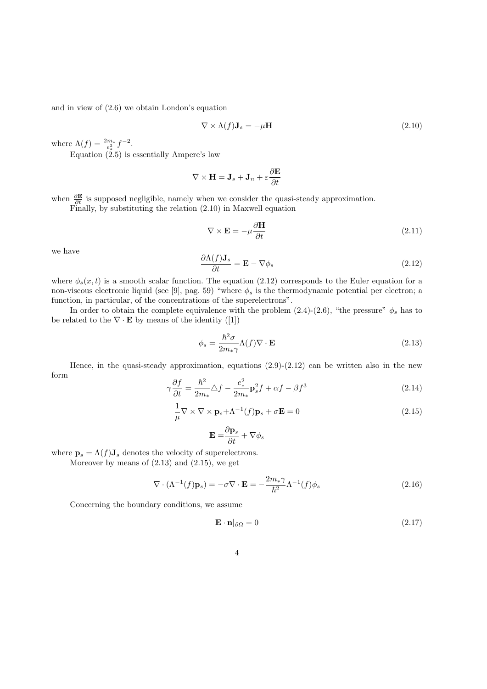and in view of (2.6) we obtain London's equation

$$
\nabla \times \Lambda(f) \mathbf{J}_s = -\mu \mathbf{H} \tag{2.10}
$$

where  $\Lambda(f) = \frac{2m_*}{e_*^2} f^{-2}$ .

Equation (2.5) is essentially Ampere's law

$$
\nabla \times \mathbf{H} = \mathbf{J}_s + \mathbf{J}_n + \varepsilon \frac{\partial \mathbf{E}}{\partial t}
$$

when  $\frac{\partial \mathbf{E}}{\partial t}$  is supposed negligible, namely when we consider the quasi-steady approximation.

Finally, by substituting the relation (2.10) in Maxwell equation

$$
\nabla \times \mathbf{E} = -\mu \frac{\partial \mathbf{H}}{\partial t}
$$
 (2.11)

we have

$$
\frac{\partial \Lambda(f) \mathbf{J}_s}{\partial t} = \mathbf{E} - \nabla \phi_s \tag{2.12}
$$

where  $\phi_s(x,t)$  is a smooth scalar function. The equation (2.12) corresponds to the Euler equation for a non-viscous electronic liquid (see [9], pag. 59) "where  $\phi_s$  is the thermodynamic potential per electron; a function, in particular, of the concentrations of the superelectrons".

In order to obtain the complete equivalence with the problem  $(2.4)-(2.6)$ , "the pressure"  $\phi_s$  has to be related to the  $\nabla \cdot \mathbf{E}$  by means of the identity ([1])

$$
\phi_s = \frac{\hbar^2 \sigma}{2m_* \gamma} \Lambda(f) \nabla \cdot \mathbf{E}
$$
\n(2.13)

Hence, in the quasi-steady approximation, equations (2.9)-(2.12) can be written also in the new form

$$
\gamma \frac{\partial f}{\partial t} = \frac{\hbar^2}{2m_*} \Delta f - \frac{e_*^2}{2m_*} \mathbf{p}_s^2 f + \alpha f - \beta f^3 \tag{2.14}
$$

$$
\frac{1}{\mu} \nabla \times \nabla \times \mathbf{p}_s + \Lambda^{-1}(f) \mathbf{p}_s + \sigma \mathbf{E} = 0
$$
\n(2.15)

$$
\mathbf{E} = \frac{\partial \mathbf{p}_s}{\partial t} + \nabla \phi_s
$$

where  $\mathbf{p}_s = \Lambda(f) \mathbf{J}_s$  denotes the velocity of superelectrons.

Moreover by means of  $(2.13)$  and  $(2.15)$ , we get

$$
\nabla \cdot (\Lambda^{-1}(f)\mathbf{p}_s) = -\sigma \nabla \cdot \mathbf{E} = -\frac{2m_*\gamma}{\hbar^2} \Lambda^{-1}(f)\phi_s \tag{2.16}
$$

Concerning the boundary conditions, we assume

$$
\mathbf{E} \cdot \mathbf{n}|_{\partial \Omega} = 0 \tag{2.17}
$$

$$
4\,
$$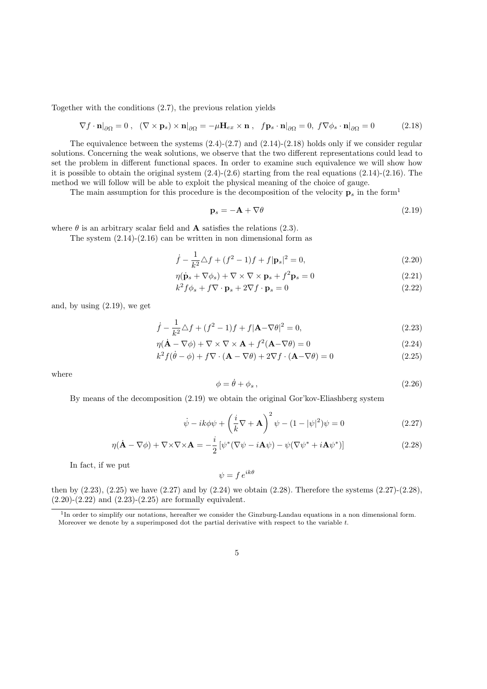Together with the conditions (2.7), the previous relation yields

$$
\nabla f \cdot \mathbf{n}|_{\partial\Omega} = 0 \,, \quad (\nabla \times \mathbf{p}_s) \times \mathbf{n}|_{\partial\Omega} = -\mu \mathbf{H}_{ex} \times \mathbf{n} \,, \quad f \mathbf{p}_s \cdot \mathbf{n}|_{\partial\Omega} = 0, \ f \nabla \phi_s \cdot \mathbf{n}|_{\partial\Omega} = 0 \tag{2.18}
$$

The equivalence between the systems  $(2.4)-(2.7)$  and  $(2.14)-(2.18)$  holds only if we consider regular solutions. Concerning the weak solutions, we observe that the two different representations could lead to set the problem in different functional spaces. In order to examine such equivalence we will show how it is possible to obtain the original system  $(2.4)-(2.6)$  starting from the real equations  $(2.14)-(2.16)$ . The method we will follow will be able to exploit the physical meaning of the choice of gauge.

The main assumption for this procedure is the decomposition of the velocity  $\mathbf{p}_s$  in the form<sup>1</sup>

$$
\mathbf{p}_s = -\mathbf{A} + \nabla \theta \tag{2.19}
$$

where  $\theta$  is an arbitrary scalar field and **A** satisfies the relations (2.3).

The system  $(2.14)-(2.16)$  can be written in non dimensional form as

$$
\dot{f} - \frac{1}{k^2} \triangle f + (f^2 - 1)f + f|\mathbf{p}_s|^2 = 0,
$$
\n(2.20)

$$
\eta(\dot{\mathbf{p}}_s + \nabla \phi_s) + \nabla \times \nabla \times \mathbf{p}_s + f^2 \mathbf{p}_s = 0 \tag{2.21}
$$

$$
k^2 f \phi_s + f \nabla \cdot \mathbf{p}_s + 2 \nabla f \cdot \mathbf{p}_s = 0 \tag{2.22}
$$

and, by using (2.19), we get

$$
\dot{f} - \frac{1}{k^2} \triangle f + (f^2 - 1)f + f|\mathbf{A} - \nabla\theta|^2 = 0,
$$
\n(2.23)

$$
\eta(\dot{\mathbf{A}} - \nabla \phi) + \nabla \times \nabla \times \mathbf{A} + f^2(\mathbf{A} - \nabla \theta) = 0
$$
\n(2.24)

$$
k^{2} f(\dot{\theta} - \phi) + f \nabla \cdot (\mathbf{A} - \nabla \theta) + 2 \nabla f \cdot (\mathbf{A} - \nabla \theta) = 0
$$
\n(2.25)

where

$$
\phi = \dot{\theta} + \phi_s \,,\tag{2.26}
$$

By means of the decomposition (2.19) we obtain the original Gor'kov-Eliashberg system

$$
\dot{\psi} - ik\phi\psi + \left(\frac{i}{k}\nabla + \mathbf{A}\right)^2 \psi - (1 - |\psi|^2)\psi = 0
$$
\n(2.27)

$$
\eta(\dot{\mathbf{A}} - \nabla\phi) + \nabla\times\nabla\times\mathbf{A} = -\frac{i}{2} \left[ \psi^*(\nabla\psi - i\mathbf{A}\psi) - \psi(\nabla\psi^* + i\mathbf{A}\psi^*) \right]
$$
(2.28)

In fact, if we put

$$
\psi = f \, e^{ik\theta}
$$

then by  $(2.23)$ ,  $(2.25)$  we have  $(2.27)$  and by  $(2.24)$  we obtain  $(2.28)$ . Therefore the systems  $(2.27)-(2.28)$ ,  $(2.20)-(2.22)$  and  $(2.23)-(2.25)$  are formally equivalent.

<sup>&</sup>lt;sup>1</sup>In order to simplify our notations, hereafter we consider the Ginzburg-Landau equations in a non dimensional form. Moreover we denote by a superimposed dot the partial derivative with respect to the variable  $t$ .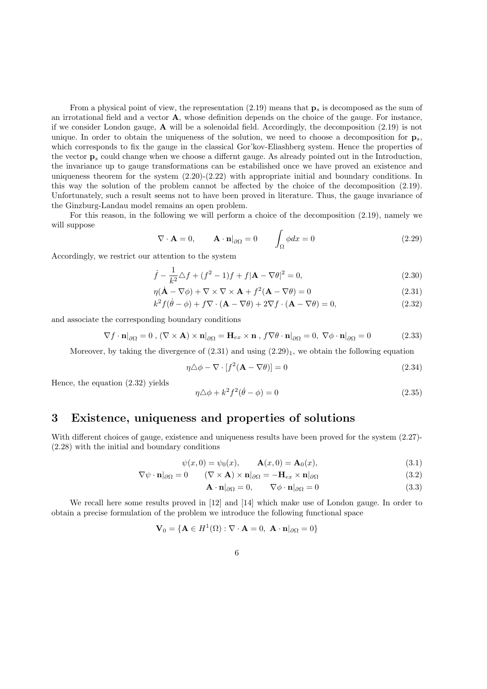From a physical point of view, the representation  $(2.19)$  means that  $\mathbf{p}_s$  is decomposed as the sum of an irrotational field and a vector A, whose definition depends on the choice of the gauge. For instance, if we consider London gauge,  $\bf{A}$  will be a solenoidal field. Accordingly, the decomposition (2.19) is not unique. In order to obtain the uniqueness of the solution, we need to choose a decomposition for  $\mathbf{p}_s$ , which corresponds to fix the gauge in the classical Gor'kov-Eliashberg system. Hence the properties of the vector  $\mathbf{p}_s$  could change when we choose a differnt gauge. As already pointed out in the Introduction, the invariance up to gauge transformations can be estabilished once we have proved an existence and uniqueness theorem for the system  $(2.20)-(2.22)$  with appropriate initial and boundary conditions. In this way the solution of the problem cannot be affected by the choice of the decomposition (2.19). Unfortunately, such a result seems not to have been proved in literature. Thus, the gauge invariance of the Ginzburg-Landau model remains an open problem.

For this reason, in the following we will perform a choice of the decomposition (2.19), namely we will suppose

$$
\nabla \cdot \mathbf{A} = 0, \qquad \mathbf{A} \cdot \mathbf{n}|_{\partial \Omega} = 0 \qquad \int_{\Omega} \phi dx = 0 \tag{2.29}
$$

Accordingly, we restrict our attention to the system

$$
\dot{f} - \frac{1}{k^2} \Delta f + (f^2 - 1)f + f|\mathbf{A} - \nabla\theta|^2 = 0,
$$
\n(2.30)

$$
\eta(\dot{\mathbf{A}} - \nabla\phi) + \nabla \times \nabla \times \mathbf{A} + f^2(\mathbf{A} - \nabla\theta) = 0
$$
\n(2.31)

$$
k^{2} f(\dot{\theta} - \phi) + f \nabla \cdot (\mathbf{A} - \nabla \theta) + 2 \nabla f \cdot (\mathbf{A} - \nabla \theta) = 0,
$$
\n(2.32)

and associate the corresponding boundary conditions

$$
\nabla f \cdot \mathbf{n}|_{\partial\Omega} = 0 \ , (\nabla \times \mathbf{A}) \times \mathbf{n}|_{\partial\Omega} = \mathbf{H}_{ex} \times \mathbf{n} \ , f \nabla \theta \cdot \mathbf{n}|_{\partial\Omega} = 0, \ \nabla \phi \cdot \mathbf{n}|_{\partial\Omega} = 0 \tag{2.33}
$$

Moreover, by taking the divergence of  $(2.31)$  and using  $(2.29)_1$ , we obtain the following equation

$$
\eta \triangle \phi - \nabla \cdot [f^2(\mathbf{A} - \nabla \theta)] = 0 \tag{2.34}
$$

Hence, the equation (2.32) yields

$$
\eta \triangle \phi + k^2 f^2 (\dot{\theta} - \phi) = 0 \tag{2.35}
$$

#### 3 Existence, uniqueness and properties of solutions

With different choices of gauge, existence and uniqueness results have been proved for the system  $(2.27)$ -(2.28) with the initial and boundary conditions

$$
\psi(x,0) = \psi_0(x), \qquad \mathbf{A}(x,0) = \mathbf{A}_0(x),
$$
\n(3.1)

$$
\nabla \psi \cdot \mathbf{n}|_{\partial \Omega} = 0 \qquad (\nabla \times \mathbf{A}) \times \mathbf{n}|_{\partial \Omega} = -\mathbf{H}_{ex} \times \mathbf{n}|_{\partial \Omega} \tag{3.2}
$$

$$
\mathbf{A} \cdot \mathbf{n}|_{\partial \Omega} = 0, \qquad \nabla \phi \cdot \mathbf{n}|_{\partial \Omega} = 0 \tag{3.3}
$$

We recall here some results proved in [12] and [14] which make use of London gauge. In order to obtain a precise formulation of the problem we introduce the following functional space

$$
\mathbf{V}_0 = \{ \mathbf{A} \in H^1(\Omega) : \nabla \cdot \mathbf{A} = 0, \ \mathbf{A} \cdot \mathbf{n} |_{\partial \Omega} = 0 \}
$$

6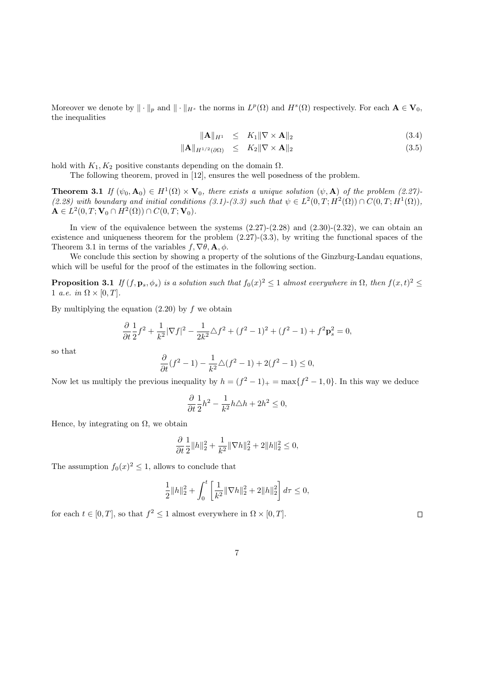Moreover we denote by  $\|\cdot\|_p$  and  $\|\cdot\|_{H^s}$  the norms in  $L^p(\Omega)$  and  $H^s(\Omega)$  respectively. For each  $\mathbf{A} \in \mathbf{V}_0$ , the inequalities

$$
\|\mathbf{A}\|_{H^1} \leq K_1 \|\nabla \times \mathbf{A}\|_2 \tag{3.4}
$$

$$
\|\mathbf{A}\|_{H^{1/2}(\partial\Omega)} \leq K_2 \|\nabla \times \mathbf{A}\|_2 \tag{3.5}
$$

hold with  $K_1, K_2$  positive constants depending on the domain  $\Omega$ .

The following theorem, proved in [12], ensures the well posedness of the problem.

**Theorem 3.1** If  $(\psi_0, \mathbf{A}_0) \in H^1(\Omega) \times \mathbf{V}_0$ , there exists a unique solution  $(\psi, \mathbf{A})$  of the problem (2.27)-(2.28) with boundary and initial conditions (3.1)-(3.3) such that  $\psi \in L^2(0,T;H^2(\Omega)) \cap C(0,T;H^1(\Omega)),$  $A \in L^2(0, T; V_0 \cap H^2(\Omega)) \cap C(0, T; V_0).$ 

In view of the equivalence between the systems  $(2.27)-(2.28)$  and  $(2.30)-(2.32)$ , we can obtain an existence and uniqueness theorem for the problem  $(2.27)-(3.3)$ , by writing the functional spaces of the Theorem 3.1 in terms of the variables  $f, \nabla \theta, \mathbf{A}, \phi$ .

We conclude this section by showing a property of the solutions of the Ginzburg-Landau equations, which will be useful for the proof of the estimates in the following section.

**Proposition 3.1** If  $(f, \mathbf{p}_s, \phi_s)$  is a solution such that  $f_0(x)^2 \leq 1$  almost everywhere in  $\Omega$ , then  $f(x, t)^2 \leq$ 1 *a.e.* in  $\Omega \times [0, T]$ .

By multiplying the equation  $(2.20)$  by f we obtain

$$
\frac{\partial}{\partial t}\frac{1}{2}f^2 + \frac{1}{k^2}|\nabla f|^2 - \frac{1}{2k^2}\triangle f^2 + (f^2 - 1)^2 + (f^2 - 1) + f^2 \mathbf{p}_s^2 = 0,
$$

so that

$$
\frac{\partial}{\partial t}(f^2 - 1) - \frac{1}{k^2}\triangle(f^2 - 1) + 2(f^2 - 1) \le 0,
$$

Now let us multiply the previous inequality by  $h = (f^2 - 1)_+ = \max\{f^2 - 1, 0\}$ . In this way we deduce

$$
\frac{\partial}{\partial t} \frac{1}{2} h^2 - \frac{1}{k^2} h \triangle h + 2h^2 \le 0,
$$

Hence, by integrating on  $\Omega$ , we obtain

$$
\frac{\partial}{\partial t} \frac{1}{2} ||h||_2^2 + \frac{1}{k^2} ||\nabla h||_2^2 + 2||h||_2^2 \le 0,
$$

The assumption  $f_0(x)^2 \leq 1$ , allows to conclude that

$$
\frac{1}{2}||h||_2^2 + \int_0^t \left[\frac{1}{k^2}||\nabla h||_2^2 + 2||h||_2^2\right]d\tau \le 0,
$$

for each  $t \in [0, T]$ , so that  $f^2 \leq 1$  almost everywhere in  $\Omega \times [0, T]$ .

 $\Box$ 

$$
\phantom{00}7
$$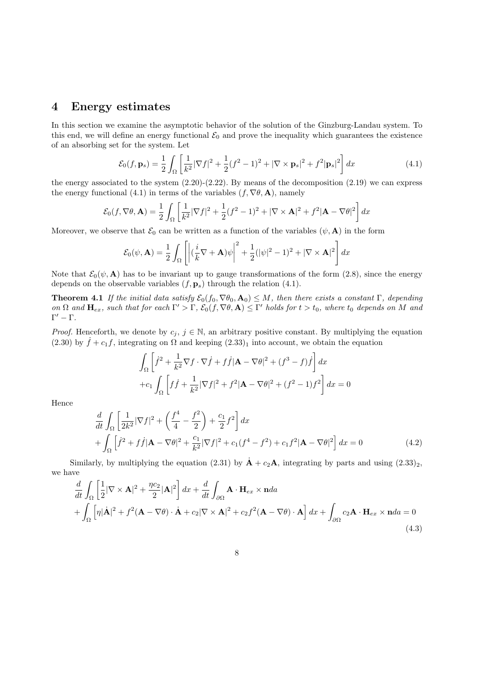#### 4 Energy estimates

In this section we examine the asymptotic behavior of the solution of the Ginzburg-Landau system. To this end, we will define an energy functional  $\mathcal{E}_0$  and prove the inequality which guarantees the existence of an absorbing set for the system. Let

$$
\mathcal{E}_0(f, \mathbf{p}_s) = \frac{1}{2} \int_{\Omega} \left[ \frac{1}{k^2} |\nabla f|^2 + \frac{1}{2} (f^2 - 1)^2 + |\nabla \times \mathbf{p}_s|^2 + f^2 |\mathbf{p}_s|^2 \right] dx \tag{4.1}
$$

the energy associated to the system  $(2.20)-(2.22)$ . By means of the decomposition  $(2.19)$  we can express the energy functional (4.1) in terms of the variables  $(f, \nabla \theta, \mathbf{A})$ , namely

$$
\mathcal{E}_0(f, \nabla \theta, \mathbf{A}) = \frac{1}{2} \int_{\Omega} \left[ \frac{1}{k^2} |\nabla f|^2 + \frac{1}{2} (f^2 - 1)^2 + |\nabla \times \mathbf{A}|^2 + f^2 |\mathbf{A} - \nabla \theta|^2 \right] dx
$$

Moreover, we observe that  $\mathcal{E}_0$  can be written as a function of the variables  $(\psi, \mathbf{A})$  in the form

$$
\mathcal{E}_0(\psi, \mathbf{A}) = \frac{1}{2} \int_{\Omega} \left[ \left| \left( \frac{i}{k} \nabla + \mathbf{A} \right) \psi \right|^2 + \frac{1}{2} (|\psi|^2 - 1)^2 + |\nabla \times \mathbf{A}|^2 \right] dx
$$

Note that  $\mathcal{E}_0(\psi, \mathbf{A})$  has to be invariant up to gauge transformations of the form (2.8), since the energy depends on the observable variables  $(f, \mathbf{p}_s)$  through the relation (4.1).

**Theorem 4.1** If the initial data satisfy  $\mathcal{E}_0(f_0, \nabla\theta_0, \mathbf{A}_0) \leq M$ , then there exists a constant  $\Gamma$ , depending on  $\Omega$  and  $H_{ex}$ , such that for each  $\Gamma' > \Gamma$ ,  $\mathcal{E}_0(f, \nabla \theta, \mathbf{A}) \leq \Gamma'$  holds for  $t > t_0$ , where  $t_0$  depends on M and  $Γ' - Γ$ .

*Proof.* Henceforth, we denote by  $c_j$ ,  $j \in \mathbb{N}$ , an arbitrary positive constant. By multiplying the equation (2.30) by  $\dot{f} + c_1 f$ , integrating on  $\Omega$  and keeping (2.33)<sub>1</sub> into account, we obtain the equation

$$
\int_{\Omega} \left[ \dot{f}^2 + \frac{1}{k^2} \nabla f \cdot \nabla \dot{f} + f \dot{f} |\mathbf{A} - \nabla \theta|^2 + (f^3 - f) \dot{f} \right] dx
$$
  
+ 
$$
c_1 \int_{\Omega} \left[ f \dot{f} + \frac{1}{k^2} |\nabla f|^2 + f^2 |\mathbf{A} - \nabla \theta|^2 + (f^2 - 1)f^2 \right] dx = 0
$$

Hence

$$
\frac{d}{dt} \int_{\Omega} \left[ \frac{1}{2k^2} |\nabla f|^2 + \left( \frac{f^4}{4} - \frac{f^2}{2} \right) + \frac{c_1}{2} f^2 \right] dx \n+ \int_{\Omega} \left[ \dot{f}^2 + f \dot{f} |\mathbf{A} - \nabla \theta|^2 + \frac{c_1}{k^2} |\nabla f|^2 + c_1 (f^4 - f^2) + c_1 f^2 |\mathbf{A} - \nabla \theta|^2 \right] dx = 0
$$
\n(4.2)

Similarly, by multiplying the equation (2.31) by  $\dot{\mathbf{A}} + c_2\mathbf{A}$ , integrating by parts and using  $(2.33)_2$ , we have

$$
\frac{d}{dt} \int_{\Omega} \left[ \frac{1}{2} |\nabla \times \mathbf{A}|^2 + \frac{\eta c_2}{2} |\mathbf{A}|^2 \right] dx + \frac{d}{dt} \int_{\partial \Omega} \mathbf{A} \cdot \mathbf{H}_{ex} \times \mathbf{n} da \n+ \int_{\Omega} \left[ \eta |\dot{\mathbf{A}}|^2 + f^2 (\mathbf{A} - \nabla \theta) \cdot \dot{\mathbf{A}} + c_2 |\nabla \times \mathbf{A}|^2 + c_2 f^2 (\mathbf{A} - \nabla \theta) \cdot \mathbf{A} \right] dx + \int_{\partial \Omega} c_2 \mathbf{A} \cdot \mathbf{H}_{ex} \times \mathbf{n} da = 0
$$
\n(4.3)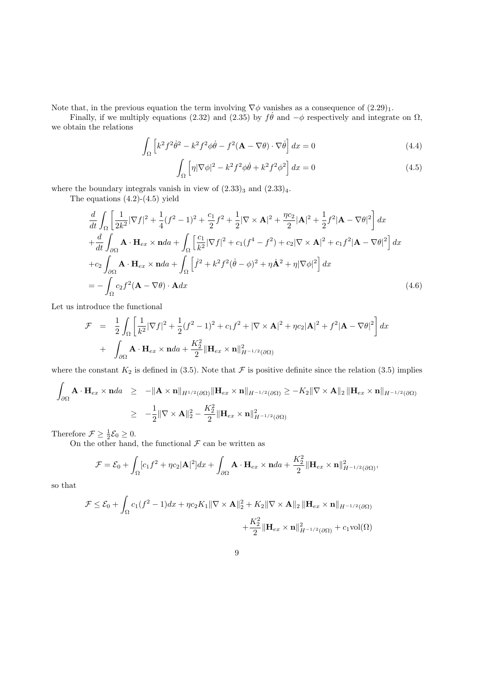Note that, in the previous equation the term involving  $\nabla \phi$  vanishes as a consequence of  $(2.29)_1$ .

Finally, if we multiply equations (2.32) and (2.35) by  $f\dot{\theta}$  and  $-\phi$  respectively and integrate on  $\Omega$ , we obtain the relations

$$
\int_{\Omega} \left[ k^2 f^2 \dot{\theta}^2 - k^2 f^2 \phi \dot{\theta} - f^2 (\mathbf{A} - \nabla \theta) \cdot \nabla \dot{\theta} \right] dx = 0 \tag{4.4}
$$

$$
\int_{\Omega} \left[ \eta |\nabla \phi|^2 - k^2 f^2 \phi \dot{\theta} + k^2 f^2 \phi^2 \right] dx = 0 \tag{4.5}
$$

where the boundary integrals vanish in view of  $(2.33)_3$  and  $(2.33)_4$ .

The equations  $(4.2)-(4.5)$  yield

$$
\frac{d}{dt} \int_{\Omega} \left[ \frac{1}{2k^2} |\nabla f|^2 + \frac{1}{4} (f^2 - 1)^2 + \frac{c_1}{2} f^2 + \frac{1}{2} |\nabla \times \mathbf{A}|^2 + \frac{\eta c_2}{2} |\mathbf{A}|^2 + \frac{1}{2} f^2 |\mathbf{A} - \nabla \theta|^2 \right] dx \n+ \frac{d}{dt} \int_{\partial \Omega} \mathbf{A} \cdot \mathbf{H}_{ex} \times \mathbf{n} da + \int_{\Omega} \left[ \frac{c_1}{k^2} |\nabla f|^2 + c_1 (f^4 - f^2) + c_2 |\nabla \times \mathbf{A}|^2 + c_1 f^2 |\mathbf{A} - \nabla \theta|^2 \right] dx \n+ c_2 \int_{\partial \Omega} \mathbf{A} \cdot \mathbf{H}_{ex} \times \mathbf{n} da + \int_{\Omega} \left[ \dot{f}^2 + k^2 f^2 (\dot{\theta} - \phi)^2 + \eta \dot{\mathbf{A}}^2 + \eta |\nabla \phi|^2 \right] dx \n= - \int_{\Omega} c_2 f^2 (\mathbf{A} - \nabla \theta) \cdot \mathbf{A} dx
$$
\n(4.6)

Let us introduce the functional

$$
\mathcal{F} = \frac{1}{2} \int_{\Omega} \left[ \frac{1}{k^2} |\nabla f|^2 + \frac{1}{2} (f^2 - 1)^2 + c_1 f^2 + |\nabla \times \mathbf{A}|^2 + \eta c_2 |\mathbf{A}|^2 + f^2 |\mathbf{A} - \nabla \theta|^2 \right] dx
$$
  
+ 
$$
\int_{\partial \Omega} \mathbf{A} \cdot \mathbf{H}_{ex} \times \mathbf{n} da + \frac{K_2^2}{2} ||\mathbf{H}_{ex} \times \mathbf{n}||_{H^{-1/2}(\partial \Omega)}^2
$$

where the constant  $K_2$  is defined in (3.5). Note that  $\mathcal F$  is positive definite since the relation (3.5) implies

$$
\int_{\partial\Omega} \mathbf{A} \cdot \mathbf{H}_{ex} \times \mathbf{n} da \ge -\|\mathbf{A} \times \mathbf{n}\|_{H^{1/2}(\partial\Omega)} \|\mathbf{H}_{ex} \times \mathbf{n}\|_{H^{-1/2}(\partial\Omega)} \ge -K_2 \|\nabla \times \mathbf{A}\|_2 \|\mathbf{H}_{ex} \times \mathbf{n}\|_{H^{-1/2}(\partial\Omega)}
$$
\n
$$
\ge -\frac{1}{2} \|\nabla \times \mathbf{A}\|_2^2 - \frac{K_2^2}{2} \|\mathbf{H}_{ex} \times \mathbf{n}\|_{H^{-1/2}(\partial\Omega)}^2
$$

Therefore  $\mathcal{F} \geq \frac{1}{2} \mathcal{E}_0 \geq 0$ .

On the other hand, the functional  $\mathcal F$  can be written as

$$
\mathcal{F} = \mathcal{E}_0 + \int_{\Omega} [c_1 f^2 + \eta c_2 |\mathbf{A}|^2] dx + \int_{\partial \Omega} \mathbf{A} \cdot \mathbf{H}_{ex} \times \mathbf{n} da + \frac{K_2^2}{2} ||\mathbf{H}_{ex} \times \mathbf{n}||_{H^{-1/2}(\partial \Omega)}^2,
$$

so that

$$
\mathcal{F} \leq \mathcal{E}_0 + \int_{\Omega} c_1 (f^2 - 1) dx + \eta c_2 K_1 ||\nabla \times \mathbf{A}||_2^2 + K_2 ||\nabla \times \mathbf{A}||_2 ||\mathbf{H}_{ex} \times \mathbf{n}||_{H^{-1/2}(\partial \Omega)} + \frac{K_2^2}{2} ||\mathbf{H}_{ex} \times \mathbf{n}||_{H^{-1/2}(\partial \Omega)}^2 + c_1 \text{vol}(\Omega)
$$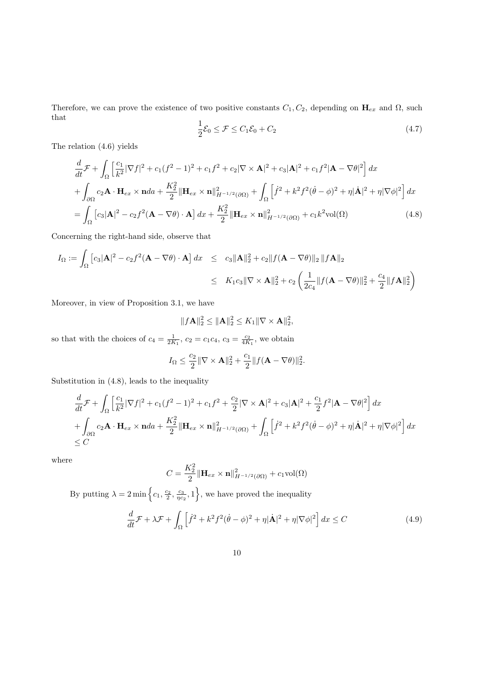Therefore, we can prove the existence of two positive constants  $C_1, C_2$ , depending on  $H_{ex}$  and  $\Omega$ , such that

$$
\frac{1}{2}\mathcal{E}_0 \le \mathcal{F} \le C_1\mathcal{E}_0 + C_2 \tag{4.7}
$$

The relation (4.6) yields

$$
\frac{d}{dt}\mathcal{F} + \int_{\Omega} \left[ \frac{c_1}{k^2} |\nabla f|^2 + c_1 (f^2 - 1)^2 + c_1 f^2 + c_2 |\nabla \times \mathbf{A}|^2 + c_3 |\mathbf{A}|^2 + c_1 f^2 |\mathbf{A} - \nabla \theta|^2 \right] dx \n+ \int_{\partial \Omega} c_2 \mathbf{A} \cdot \mathbf{H}_{ex} \times \mathbf{n} da + \frac{K_2^2}{2} ||\mathbf{H}_{ex} \times \mathbf{n}||_{H^{-1/2}(\partial \Omega)}^2 + \int_{\Omega} \left[ \dot{f}^2 + k^2 f^2 (\dot{\theta} - \phi)^2 + \eta |\dot{\mathbf{A}}|^2 + \eta |\nabla \phi|^2 \right] dx \n= \int_{\Omega} \left[ c_3 |\mathbf{A}|^2 - c_2 f^2 (\mathbf{A} - \nabla \theta) \cdot \mathbf{A} \right] dx + \frac{K_2^2}{2} ||\mathbf{H}_{ex} \times \mathbf{n}||_{H^{-1/2}(\partial \Omega)}^2 + c_1 k^2 \text{vol}(\Omega)
$$
\n(4.8)

Concerning the right-hand side, observe that

$$
I_{\Omega} := \int_{\Omega} \left[ c_3 |\mathbf{A}|^2 - c_2 f^2 (\mathbf{A} - \nabla \theta) \cdot \mathbf{A} \right] dx \leq c_3 ||\mathbf{A}||_2^2 + c_2 ||f(\mathbf{A} - \nabla \theta)||_2 ||f\mathbf{A}||_2
$$
  
 
$$
\leq K_1 c_3 ||\nabla \times \mathbf{A}||_2^2 + c_2 \left( \frac{1}{2c_4} ||f(\mathbf{A} - \nabla \theta)||_2^2 + \frac{c_4}{2} ||f\mathbf{A}||_2^2 \right)
$$

Moreover, in view of Proposition 3.1, we have

$$
||f\mathbf{A}||_2^2 \leq \|\mathbf{A}\|_2^2 \leq K_1 \|\nabla \times \mathbf{A}\|_2^2,
$$

so that with the choices of  $c_4 = \frac{1}{2K_1}$ ,  $c_2 = c_1 c_4$ ,  $c_3 = \frac{c_2}{4K_1}$ , we obtain

$$
I_{\Omega} \le \frac{c_2}{2} \|\nabla \times \mathbf{A}\|_2^2 + \frac{c_1}{2} \|f(\mathbf{A} - \nabla \theta)\|_2^2.
$$

Substitution in (4.8), leads to the inequality

$$
\frac{d}{dt}\mathcal{F} + \int_{\Omega} \left[ \frac{c_1}{k^2} |\nabla f|^2 + c_1 (f^2 - 1)^2 + c_1 f^2 + \frac{c_2}{2} |\nabla \times \mathbf{A}|^2 + c_3 |\mathbf{A}|^2 + \frac{c_1}{2} f^2 |\mathbf{A} - \nabla \theta|^2 \right] dx
$$
\n
$$
+ \int_{\partial \Omega} c_2 \mathbf{A} \cdot \mathbf{H}_{ex} \times \mathbf{n} d\mathbf{A} + \frac{K_2^2}{2} ||\mathbf{H}_{ex} \times \mathbf{n}||_{H^{-1/2}(\partial \Omega)}^2 + \int_{\Omega} \left[ \dot{f}^2 + k^2 f^2 (\dot{\theta} - \phi)^2 + \eta |\dot{\mathbf{A}}|^2 + \eta |\nabla \phi|^2 \right] dx
$$
\n
$$
\leq C
$$

where

$$
C = \frac{K_2^2}{2} \|\mathbf{H}_{ex} \times \mathbf{n}\|_{H^{-1/2}(\partial \Omega)}^2 + c_1 \text{vol}(\Omega)
$$

By putting  $\lambda = 2 \min \left\{c_1, \frac{c_2}{2}, \frac{c_3}{\eta c_2}, 1\right\}$ , we have proved the inequality

$$
\frac{d}{dt}\mathcal{F} + \lambda \mathcal{F} + \int_{\Omega} \left[ \dot{f}^2 + k^2 f^2 (\dot{\theta} - \phi)^2 + \eta |\dot{\mathbf{A}}|^2 + \eta |\nabla \phi|^2 \right] dx \le C \tag{4.9}
$$

$$
10\quad
$$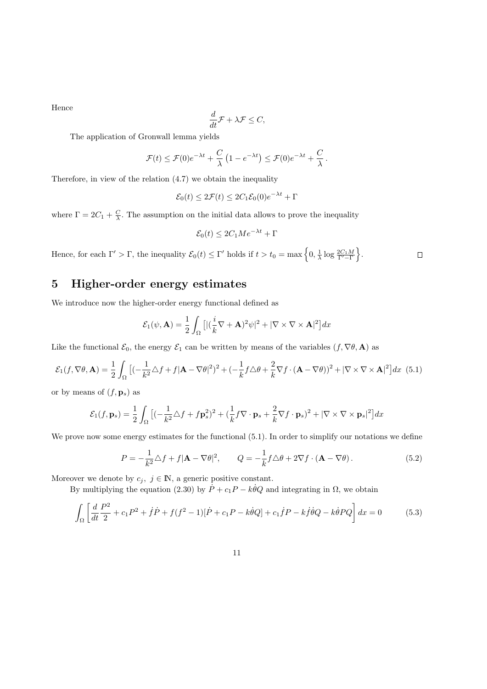Hence

$$
\frac{d}{dt}\mathcal{F} + \lambda \mathcal{F} \leq C,
$$

The application of Gronwall lemma yields

$$
\mathcal{F}(t) \leq \mathcal{F}(0)e^{-\lambda t} + \frac{C}{\lambda} \left(1 - e^{-\lambda t}\right) \leq \mathcal{F}(0)e^{-\lambda t} + \frac{C}{\lambda}.
$$

Therefore, in view of the relation (4.7) we obtain the inequality

$$
\mathcal{E}_0(t) \le 2\mathcal{F}(t) \le 2C_1 \mathcal{E}_0(0)e^{-\lambda t} + \Gamma
$$

where  $\Gamma = 2C_1 + \frac{C}{\lambda}$ . The assumption on the initial data allows to prove the inequality

$$
\mathcal{E}_0(t) \le 2C_1 Me^{-\lambda t} + \Gamma
$$

Hence, for each  $\Gamma' > \Gamma$ , the inequality  $\mathcal{E}_0(t) \leq \Gamma'$  holds if  $t > t_0 = \max\left\{0, \frac{1}{\lambda} \log \frac{2C_1 M}{\Gamma' - \Gamma}\right\}$ .

 $\Box$ 

## 5 Higher-order energy estimates

We introduce now the higher-order energy functional defined as

$$
\mathcal{E}_1(\psi, \mathbf{A}) = \frac{1}{2} \int_{\Omega} \left[ |(\frac{i}{k} \nabla + \mathbf{A})^2 \psi|^2 + |\nabla \times \nabla \times \mathbf{A}|^2 \right] dx
$$

Like the functional  $\mathcal{E}_0$ , the energy  $\mathcal{E}_1$  can be written by means of the variables  $(f, \nabla \theta, \mathbf{A})$  as

$$
\mathcal{E}_1(f, \nabla \theta, \mathbf{A}) = \frac{1}{2} \int_{\Omega} \left[ (-\frac{1}{k^2} \Delta f + f | \mathbf{A} - \nabla \theta |^2)^2 + (-\frac{1}{k} f \Delta \theta + \frac{2}{k} \nabla f \cdot (\mathbf{A} - \nabla \theta))^2 + |\nabla \times \nabla \times \mathbf{A}|^2 \right] dx \tag{5.1}
$$

or by means of  $(f, \mathbf{p}_s)$  as

$$
\mathcal{E}_1(f, \mathbf{p}_s) = \frac{1}{2} \int_{\Omega} \left[ (-\frac{1}{k^2} \Delta f + f \mathbf{p}_s^2)^2 + (\frac{1}{k} f \nabla \cdot \mathbf{p}_s + \frac{2}{k} \nabla f \cdot \mathbf{p}_s)^2 + |\nabla \times \nabla \times \mathbf{p}_s|^2 \right] dx
$$

We prove now some energy estimates for the functional  $(5.1)$ . In order to simplify our notations we define

$$
P = -\frac{1}{k^2} \triangle f + f|\mathbf{A} - \nabla \theta|^2, \qquad Q = -\frac{1}{k} f \triangle \theta + 2\nabla f \cdot (\mathbf{A} - \nabla \theta). \tag{5.2}
$$

Moreover we denote by  $c_j, j \in \mathbb{N}$ , a generic positive constant.

By multiplying the equation (2.30) by  $\dot{P} + c_1P - k\dot{\theta}Q$  and integrating in  $\Omega$ , we obtain

$$
\int_{\Omega} \left[ \frac{d}{dt} \frac{P^2}{2} + c_1 P^2 + \dot{f} \dot{P} + f(f^2 - 1)[\dot{P} + c_1 P - k \dot{\theta} Q] + c_1 \dot{f} P - k \dot{f} \dot{\theta} Q - k \dot{\theta} P Q \right] dx = 0 \tag{5.3}
$$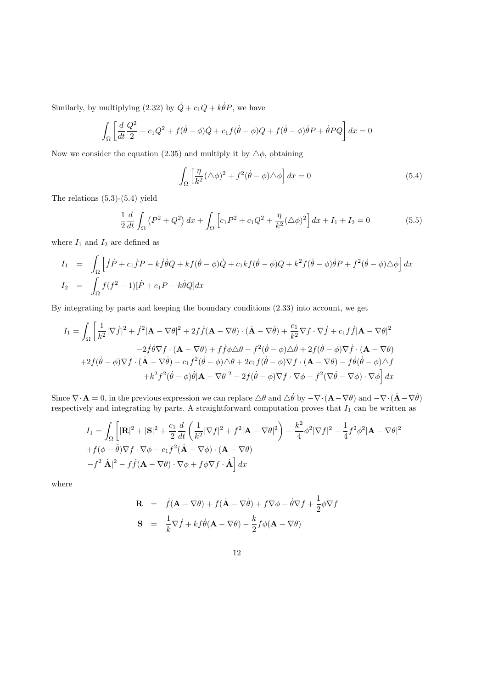Similarly, by multiplying  $(2.32)$  by  $\dot{Q} + c_1 Q + k \dot{\theta} P$ , we have

$$
\int_{\Omega} \left[ \frac{d}{dt} \frac{Q^2}{2} + c_1 Q^2 + f(\dot{\theta} - \phi)\dot{Q} + c_1 f(\dot{\theta} - \phi)Q + f(\dot{\theta} - \phi)\dot{\theta}P + \dot{\theta}PQ \right] dx = 0
$$

Now we consider the equation (2.35) and multiply it by  $\Delta\phi$ , obtaining

$$
\int_{\Omega} \left[ \frac{\eta}{k^2} (\Delta \phi)^2 + f^2 (\dot{\theta} - \phi) \Delta \phi \right] dx = 0
$$
\n(5.4)

The relations (5.3)-(5.4) yield

$$
\frac{1}{2}\frac{d}{dt}\int_{\Omega} \left(P^2 + Q^2\right) dx + \int_{\Omega} \left[c_1 P^2 + c_1 Q^2 + \frac{\eta}{k^2} (\Delta \phi)^2\right] dx + I_1 + I_2 = 0 \tag{5.5}
$$

where  ${\cal I}_1$  and  ${\cal I}_2$  are defined as

$$
I_1 = \int_{\Omega} \left[ \dot{f} \dot{P} + c_1 \dot{f} P - k \dot{f} \dot{\theta} Q + k f (\dot{\theta} - \phi) \dot{Q} + c_1 k f (\dot{\theta} - \phi) Q + k^2 f (\dot{\theta} - \phi) \dot{\theta} P + f^2 (\dot{\theta} - \phi) \Delta \phi \right] dx
$$
  
\n
$$
I_2 = \int_{\Omega} f(f^2 - 1) [\dot{P} + c_1 P - k \dot{\theta} Q] dx
$$

By integrating by parts and keeping the boundary conditions (2.33) into account, we get

$$
I_{1} = \int_{\Omega} \left[ \frac{1}{k^{2}} |\nabla \dot{f}|^{2} + \dot{f}^{2} |\mathbf{A} - \nabla \theta|^{2} + 2f \dot{f} (\mathbf{A} - \nabla \theta) \cdot (\dot{\mathbf{A}} - \nabla \dot{\theta}) + \frac{c_{1}}{k^{2}} \nabla f \cdot \nabla \dot{f} + c_{1} f \dot{f} |\mathbf{A} - \nabla \theta|^{2} \right]
$$
  
\n
$$
-2 \dot{f} \dot{\theta} \nabla f \cdot (\mathbf{A} - \nabla \theta) + f \dot{f} \phi \triangle \theta - f^{2} (\dot{\theta} - \phi) \triangle \dot{\theta} + 2f (\dot{\theta} - \phi) \nabla \dot{f} \cdot (\mathbf{A} - \nabla \theta)
$$
  
\n
$$
+2f (\dot{\theta} - \phi) \nabla f \cdot (\dot{\mathbf{A}} - \nabla \dot{\theta}) - c_{1} f^{2} (\dot{\theta} - \phi) \triangle \theta + 2c_{1} f (\dot{\theta} - \phi) \nabla f \cdot (\mathbf{A} - \nabla \theta) - f \dot{\theta} (\dot{\theta} - \phi) \triangle f
$$
  
\n
$$
+k^{2} f^{2} (\dot{\theta} - \phi) \dot{\theta} |\mathbf{A} - \nabla \theta|^{2} - 2f (\dot{\theta} - \phi) \nabla f \cdot \nabla \phi - f^{2} (\nabla \dot{\theta} - \nabla \phi) \cdot \nabla \phi \right] dx
$$

Since  $\nabla \cdot \mathbf{A} = 0$ , in the previous expression we can replace  $\triangle \theta$  and  $\triangle \dot{\theta}$  by  $-\nabla \cdot (\mathbf{A} - \nabla \theta)$  and  $-\nabla \cdot (\dot{\mathbf{A}} - \nabla \dot{\theta})$ respectively and integrating by parts. A straightforward computation proves that  $I_1$  can be written as

$$
I_1 = \int_{\Omega} \left[ |\mathbf{R}|^2 + |\mathbf{S}|^2 + \frac{c_1}{2} \frac{d}{dt} \left( \frac{1}{k^2} |\nabla f|^2 + f^2 |\mathbf{A} - \nabla \theta|^2 \right) - \frac{k^2}{4} \phi^2 |\nabla f|^2 - \frac{1}{4} f^2 \phi^2 |\mathbf{A} - \nabla \theta|^2
$$
  
+  $f(\phi - \dot{\theta}) \nabla f \cdot \nabla \phi - c_1 f^2 (\dot{\mathbf{A}} - \nabla \phi) \cdot (\mathbf{A} - \nabla \theta)$   

$$
-f^2 |\dot{\mathbf{A}}|^2 - f \dot{f} (\mathbf{A} - \nabla \theta) \cdot \nabla \phi + f \phi \nabla f \cdot \dot{\mathbf{A}} \right] dx
$$

where

$$
\mathbf{R} = \dot{f}(\mathbf{A} - \nabla\theta) + f(\dot{\mathbf{A}} - \nabla\dot{\theta}) + f\nabla\phi - \dot{\theta}\nabla f + \frac{1}{2}\phi\nabla f
$$

$$
\mathbf{S} = \frac{1}{k}\nabla\dot{f} + kf\dot{\theta}(\mathbf{A} - \nabla\theta) - \frac{k}{2}f\phi(\mathbf{A} - \nabla\theta)
$$

12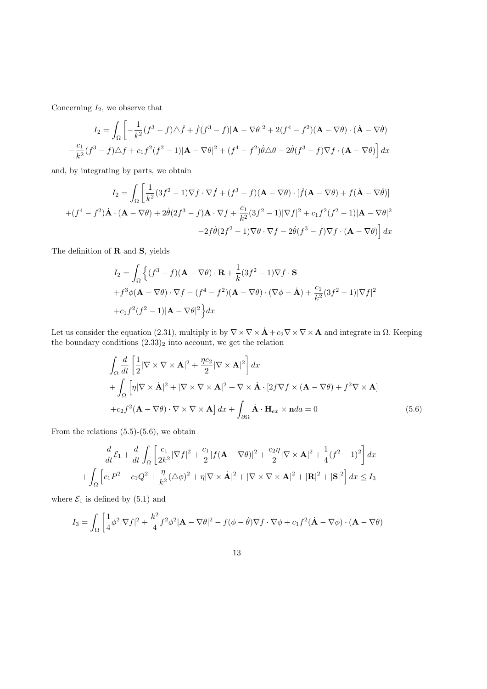Concerning  $I_2$ , we observe that

$$
I_2 = \int_{\Omega} \left[ -\frac{1}{k^2} (f^3 - f) \Delta \dot{f} + \dot{f} (f^3 - f) |\mathbf{A} - \nabla \theta|^2 + 2(f^4 - f^2) (\mathbf{A} - \nabla \theta) \cdot (\dot{\mathbf{A}} - \nabla \dot{\theta}) \right]
$$
  

$$
-\frac{c_1}{k^2} (f^3 - f) \Delta f + c_1 f^2 (f^2 - 1) |\mathbf{A} - \nabla \theta|^2 + (f^4 - f^2) \dot{\theta} \Delta \theta - 2 \dot{\theta} (f^3 - f) \nabla f \cdot (\mathbf{A} - \nabla \theta) \right] dx
$$

and, by integrating by parts, we obtain

$$
I_2 = \int_{\Omega} \left[ \frac{1}{k^2} (3f^2 - 1) \nabla f \cdot \nabla \dot{f} + (f^3 - f)(\mathbf{A} - \nabla \theta) \cdot [\dot{f}(\mathbf{A} - \nabla \theta) + f(\dot{\mathbf{A}} - \nabla \dot{\theta})] + (f^4 - f^2) \dot{\mathbf{A}} \cdot (\mathbf{A} - \nabla \theta) + 2\dot{\theta}(2f^3 - f)\mathbf{A} \cdot \nabla f + \frac{c_1}{k^2} (3f^2 - 1)|\nabla f|^2 + c_1 f^2 (f^2 - 1)|\mathbf{A} - \nabla \theta|^2 - 2f\dot{\theta}(2f^2 - 1)\nabla \theta \cdot \nabla f - 2\dot{\theta}(f^3 - f)\nabla f \cdot (\mathbf{A} - \nabla \theta) \right] dx
$$

The definition of  **and**  $**S**$ **, yields** 

$$
I_2 = \int_{\Omega} \left\{ (f^3 - f)(\mathbf{A} - \nabla \theta) \cdot \mathbf{R} + \frac{1}{k} (3f^2 - 1) \nabla f \cdot \mathbf{S} \right\}
$$
  
+  $f^3 \phi (\mathbf{A} - \nabla \theta) \cdot \nabla f - (f^4 - f^2)(\mathbf{A} - \nabla \theta) \cdot (\nabla \phi - \mathbf{A}) + \frac{c_1}{k^2} (3f^2 - 1) |\nabla f|^2$   
+  $c_1 f^2 (f^2 - 1) |\mathbf{A} - \nabla \theta|^2 \right\} dx$ 

Let us consider the equation (2.31), multiply it by  $\nabla \times \nabla \times \mathbf{A} + c_2 \nabla \times \nabla \times \mathbf{A}$  and integrate in  $\Omega$ . Keeping the boundary conditions  $(2.33)_2$  into account, we get the relation

$$
\int_{\Omega} \frac{d}{dt} \left[ \frac{1}{2} |\nabla \times \nabla \times \mathbf{A}|^2 + \frac{\eta c_2}{2} |\nabla \times \mathbf{A}|^2 \right] dx
$$
  
+ 
$$
\int_{\Omega} \left[ \eta |\nabla \times \dot{\mathbf{A}}|^2 + |\nabla \times \nabla \times \mathbf{A}|^2 + \nabla \times \dot{\mathbf{A}} \cdot [2f \nabla f \times (\mathbf{A} - \nabla \theta) + f^2 \nabla \times \mathbf{A}]
$$
  
+ 
$$
c_2 f^2 (\mathbf{A} - \nabla \theta) \cdot \nabla \times \nabla \times \mathbf{A} \right] dx + \int_{\partial \Omega} \dot{\mathbf{A}} \cdot \mathbf{H}_{ex} \times \mathbf{n} da = 0
$$
(5.6)

From the relations  $(5.5)-(5.6)$ , we obtain

$$
\frac{d}{dt}\mathcal{E}_1 + \frac{d}{dt}\int_{\Omega} \left[\frac{c_1}{2k^2}|\nabla f|^2 + \frac{c_1}{2}|f(\mathbf{A} - \nabla\theta)|^2 + \frac{c_2\eta}{2}|\nabla \times \mathbf{A}|^2 + \frac{1}{4}(f^2 - 1)^2\right]dx
$$

$$
+ \int_{\Omega} \left[c_1P^2 + c_1Q^2 + \frac{\eta}{k^2}(\triangle\phi)^2 + \eta|\nabla \times \mathbf{A}|^2 + |\nabla \times \nabla \times \mathbf{A}|^2 + |\mathbf{R}|^2 + |\mathbf{S}|^2\right]dx \le I_3
$$

where  $\mathcal{E}_1$  is defined by (5.1) and

$$
I_3 = \int_{\Omega} \left[ \frac{1}{4} \phi^2 |\nabla f|^2 + \frac{k^2}{4} f^2 \phi^2 |\mathbf{A} - \nabla \theta|^2 - f(\phi - \dot{\theta}) \nabla f \cdot \nabla \phi + c_1 f^2 (\dot{\mathbf{A}} - \nabla \phi) \cdot (\mathbf{A} - \nabla \theta) \right]
$$

$$
13\quad
$$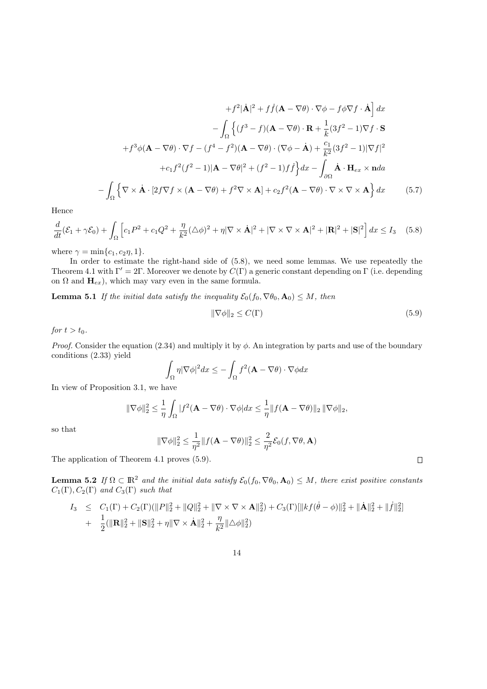$$
+f^{2}|\dot{\mathbf{A}}|^{2} + f\dot{f}(\mathbf{A} - \nabla\theta) \cdot \nabla\phi - f\phi\nabla f \cdot \dot{\mathbf{A}}\, dx
$$

$$
-\int_{\Omega} \left\{ (f^{3} - f)(\mathbf{A} - \nabla\theta) \cdot \mathbf{R} + \frac{1}{k}(3f^{2} - 1)\nabla f \cdot \mathbf{S} \right\}
$$

$$
+f^{3}\phi(\mathbf{A} - \nabla\theta) \cdot \nabla f - (f^{4} - f^{2})(\mathbf{A} - \nabla\theta) \cdot (\nabla\phi - \dot{\mathbf{A}}) + \frac{c_{1}}{k^{2}}(3f^{2} - 1)|\nabla f|^{2}
$$

$$
+c_{1}f^{2}(f^{2} - 1)|\mathbf{A} - \nabla\theta|^{2} + (f^{2} - 1)f\dot{f}\right\}dx - \int_{\partial\Omega} \dot{\mathbf{A}} \cdot \mathbf{H}_{ex} \times \mathbf{n}da
$$

$$
-\int_{\Omega} \left\{ \nabla \times \dot{\mathbf{A}} \cdot [2f\nabla f \times (\mathbf{A} - \nabla\theta) + f^{2}\nabla \times \mathbf{A}] + c_{2}f^{2}(\mathbf{A} - \nabla\theta) \cdot \nabla \times \nabla \times \mathbf{A} \right\} dx \qquad (5.7)
$$

Hence

$$
\frac{d}{dt}(\mathcal{E}_1 + \gamma \mathcal{E}_0) + \int_{\Omega} \left[ c_1 P^2 + c_1 Q^2 + \frac{\eta}{k^2} (\triangle \phi)^2 + \eta |\nabla \times \dot{\mathbf{A}}|^2 + |\nabla \times \nabla \times \mathbf{A}|^2 + |\mathbf{R}|^2 + |\mathbf{S}|^2 \right] dx \le I_3 \quad (5.8)
$$

where  $\gamma = \min\{c_1, c_2\eta, 1\}.$ 

In order to estimate the right-hand side of  $(5.8)$ , we need some lemmas. We use repeatedly the Theorem 4.1 with Γ' = 2Γ. Moreover we denote by  $C(\Gamma)$  a generic constant depending on Γ (i.e. depending on  $\Omega$  and  $H_{ex}$ ), which may vary even in the same formula.

**Lemma 5.1** If the initial data satisfy the inequality  $\mathcal{E}_0(f_0, \nabla \theta_0, \mathbf{A}_0) \leq M$ , then

$$
\|\nabla \phi\|_2 \le C(\Gamma) \tag{5.9}
$$

 $\Box$ 

for  $t > t_0$ .

*Proof.* Consider the equation (2.34) and multiply it by  $\phi$ . An integration by parts and use of the boundary conditions (2.33) yield

$$
\int_{\Omega} \eta |\nabla \phi|^2 dx \leq -\int_{\Omega} f^2(\mathbf{A} - \nabla \theta) \cdot \nabla \phi dx
$$

In view of Proposition 3.1, we have

$$
\|\nabla\phi\|_2^2 \leq \frac{1}{\eta} \int_{\Omega} |f^2(\mathbf{A} - \nabla\theta) \cdot \nabla\phi| dx \leq \frac{1}{\eta} \|f(\mathbf{A} - \nabla\theta)\|_2 \|\nabla\phi\|_2,
$$

so that

$$
|\nabla \phi||_2^2 \le \frac{1}{\eta^2} ||f(\mathbf{A} - \nabla \theta)||_2^2 \le \frac{2}{\eta^2} \mathcal{E}_0(f, \nabla \theta, \mathbf{A})
$$

The application of Theorem 4.1 proves (5.9).

 $\overline{a}$ 

**Lemma 5.2** If  $\Omega \subset \mathbb{R}^2$  and the initial data satisfy  $\mathcal{E}_0(f_0, \nabla \theta_0, \mathbf{A}_0) \leq M$ , there exist positive constants  $C_1(\Gamma), C_2(\Gamma)$  and  $C_3(\Gamma)$  such that

$$
I_3 \leq C_1(\Gamma) + C_2(\Gamma)(\|P\|_2^2 + \|Q\|_2^2 + \|\nabla \times \nabla \times \mathbf{A}\|_2^2) + C_3(\Gamma)[\|kf(\dot{\theta} - \phi)\|_2^2 + \|\dot{\mathbf{A}}\|_2^2 + \|f\|_2^2]
$$
  
+ 
$$
\frac{1}{2}(\|\mathbf{R}\|_2^2 + \|\mathbf{S}\|_2^2 + \eta \|\nabla \times \dot{\mathbf{A}}\|_2^2 + \frac{\eta}{k^2} \|\Delta \phi\|_2^2)
$$

$$
14\quad
$$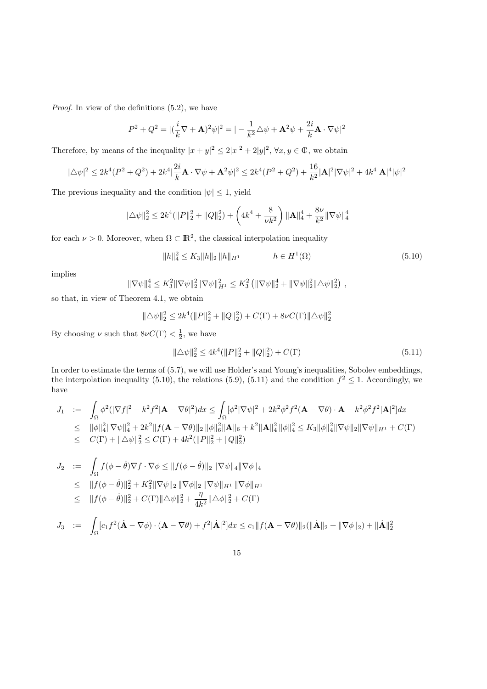Proof. In view of the definitions (5.2), we have

$$
P^2 + Q^2 = |(\frac{i}{k}\nabla + \mathbf{A})^2\psi|^2 = |-\frac{1}{k^2}\triangle\psi + \mathbf{A}^2\psi + \frac{2i}{k}\mathbf{A}\cdot\nabla\psi|^2
$$

Therefore, by means of the inequality  $|x+y|^2 \leq 2|x|^2 + 2|y|^2$ ,  $\forall x, y \in \mathbb{C}$ , we obtain

$$
|\triangle \psi|^2 \le 2k^4(P^2 + Q^2) + 2k^4 \left| \frac{2i}{k} \mathbf{A} \cdot \nabla \psi + \mathbf{A}^2 \psi \right|^2 \le 2k^4(P^2 + Q^2) + \frac{16}{k^2} |\mathbf{A}|^2 |\nabla \psi|^2 + 4k^4 |\mathbf{A}|^4 |\psi|^2
$$

The previous inequality and the condition  $|\psi| \leq 1$ , yield

$$
\|\triangle \psi\|_2^2 \le 2k^4 (\|P\|_2^2 + \|Q\|_2^2) + \left(4k^4 + \frac{8}{\nu k^2}\right) \|\mathbf{A}\|_4^4 + \frac{8\nu}{k^2} \|\nabla \psi\|_4^4
$$

for each  $\nu > 0$ . Moreover, when  $\Omega \subset \mathbb{R}^2$ , the classical interpolation inequality

$$
||h||_4^2 \le K_3 ||h||_2 ||h||_{H^1} \qquad \qquad h \in H^1(\Omega) \tag{5.10}
$$

implies

$$
\|\nabla\psi\|_4^4 \leq K_3^2 \|\nabla\psi\|_2^2 \|\nabla\psi\|_{H^1}^2 \leq K_3^2 \left( \|\nabla\psi\|_2^4 + \|\nabla\psi\|_2^2 \|\Delta\psi\|_2^2 \right),
$$

so that, in view of Theorem 4.1, we obtain

$$
\|\triangle \psi\|_2^2 \leq 2k^4 (\|P\|_2^2 + \|Q\|_2^2) + C(\Gamma) + 8\nu C(\Gamma) \|\triangle \psi\|_2^2
$$

By choosing  $\nu$  such that  $8\nu C(\Gamma) < \frac{1}{2}$ , we have

$$
\|\Delta\psi\|_2^2 \le 4k^4(\|P\|_2^2 + \|Q\|_2^2) + C(\Gamma)
$$
\n(5.11)

In order to estimate the terms of (5.7), we will use Holder's and Young's inequalities, Sobolev embeddings, the interpolation inequality (5.10), the relations (5.9), (5.11) and the condition  $f^2 \leq 1$ . Accordingly, we have

$$
J_1 := \int_{\Omega} \phi^2 (|\nabla f|^2 + k^2 f^2 |\mathbf{A} - \nabla \theta|^2) dx \le \int_{\Omega} [\phi^2 |\nabla \psi|^2 + 2k^2 \phi^2 f^2 (\mathbf{A} - \nabla \theta) \cdot \mathbf{A} - k^2 \phi^2 f^2 |\mathbf{A}|^2] dx
$$
  
\n
$$
\leq ||\phi||_4^2 ||\nabla \psi||_4^2 + 2k^2 ||f(\mathbf{A} - \nabla \theta)||_2 ||\phi||_6^2 ||\mathbf{A}||_6 + k^2 ||\mathbf{A}||_4^2 ||\phi||_4^2 \leq K_3 ||\phi||_4^2 ||\nabla \psi||_2 ||\nabla \psi||_{H^1} + C(\Gamma)
$$
  
\n
$$
\leq C(\Gamma) + ||\Delta \psi||_2^2 \leq C(\Gamma) + 4k^2 (||P||_2^2 + ||Q||_2^2)
$$

$$
J_2 := \int_{\Omega} f(\phi - \dot{\theta}) \nabla f \cdot \nabla \phi \le ||f(\phi - \dot{\theta})||_2 ||\nabla \psi||_4 ||\nabla \phi||_4
$$
  
\n
$$
\le ||f(\phi - \dot{\theta})||_2^2 + K_3^2 ||\nabla \psi||_2 ||\nabla \phi||_2 ||\nabla \psi||_{H^1} ||\nabla \phi||_{H^1}
$$
  
\n
$$
\le ||f(\phi - \dot{\theta})||_2^2 + C(\Gamma) ||\Delta \psi||_2^2 + \frac{\eta}{4k^2} ||\Delta \phi||_2^2 + C(\Gamma)
$$

$$
J_3 \quad := \quad \int_{\Omega} [c_1 f^2(\dot{\mathbf{A}} - \nabla \phi) \cdot (\mathbf{A} - \nabla \theta) + f^2 |\dot{\mathbf{A}}|^2] dx \le c_1 \|f(\mathbf{A} - \nabla \theta)\|_2 (\|\dot{\mathbf{A}}\|_2 + \|\nabla \phi\|_2) + \|\dot{\mathbf{A}}\|_2^2
$$

$$
15\quad
$$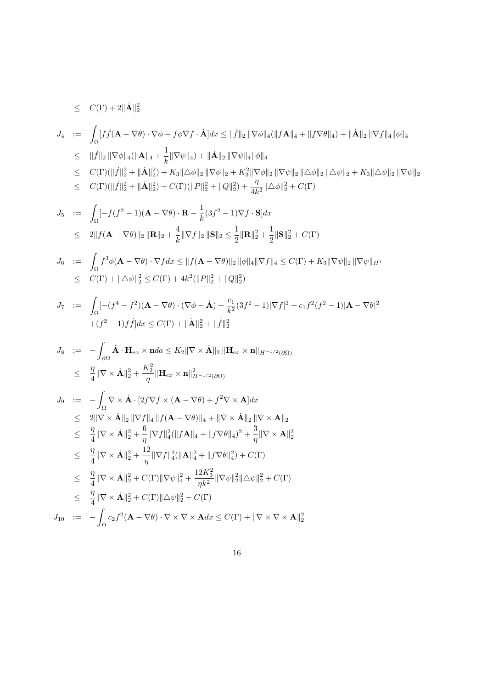$\leq C(\Gamma)+2\|\dot{\mathbf{A}}\|_2^2$ 

$$
J_4 := \int_{\Omega} [f \dot{f}(\mathbf{A} - \nabla \theta) \cdot \nabla \phi - f \phi \nabla f \cdot \dot{\mathbf{A}}] dx \leq ||\dot{f}||_2 ||\nabla \phi||_4 (||f\mathbf{A}||_4 + ||f \nabla \theta||_4) + ||\dot{\mathbf{A}}||_2 ||\nabla f||_4 ||\phi||_4
$$
  
\n
$$
\leq ||\dot{f}||_2 ||\nabla \phi||_4 (||\mathbf{A}||_4 + \frac{1}{k} ||\nabla \psi||_4) + ||\dot{\mathbf{A}}||_2 ||\nabla \psi||_4 ||\phi||_4
$$
  
\n
$$
\leq C(\Gamma)(||\dot{f}||_2^2 + ||\dot{\mathbf{A}}||_2^2) + K_3 ||\Delta \phi||_2 ||\nabla \phi||_2 + K_3^2 ||\nabla \phi||_2 ||\nabla \psi||_2 ||\Delta \phi||_2 ||\Delta \psi||_2 + K_3 ||\Delta \psi||_2 ||\nabla \psi||_2
$$
  
\n
$$
\leq C(\Gamma)(||\dot{f}||_2^2 + ||\dot{\mathbf{A}}||_2^2) + C(\Gamma)(||P||_2^2 + ||Q||_2^2) + \frac{\eta}{4k^2} ||\Delta \phi||_2^2 + C(\Gamma)
$$

$$
J_5 := \int_{\Omega} [-f(f^2 - 1)(\mathbf{A} - \nabla \theta) \cdot \mathbf{R} - \frac{1}{k} (3f^2 - 1) \nabla f \cdot \mathbf{S}] dx
$$
  
\n
$$
\leq 2 \| f(\mathbf{A} - \nabla \theta) \|_2 \| \mathbf{R} \|_2 + \frac{4}{k} \| \nabla f \|_2 \| \mathbf{S} \|_2 \leq \frac{1}{2} \| \mathbf{R} \|_2^2 + \frac{1}{2} \| \mathbf{S} \|_2^2 + C(\Gamma)
$$

$$
J_6 := \int_{\Omega} f^3 \phi(\mathbf{A} - \nabla \theta) \cdot \nabla f dx \le ||f(\mathbf{A} - \nabla \theta)||_2 ||\phi||_4 ||\nabla f||_4 \le C(\Gamma) + K_3 ||\nabla \psi||_2 ||\nabla \psi||_{H^1}
$$
  

$$
\le C(\Gamma) + ||\Delta \psi||_2^2 \le C(\Gamma) + 4k^2 (||P||_2^2 + ||Q||_2^2)
$$

$$
J_7 := \int_{\Omega} \left[ -(f^4 - f^2)(\mathbf{A} - \nabla \theta) \cdot (\nabla \phi - \dot{\mathbf{A}}) + \frac{c_1}{k^2} (3f^2 - 1) |\nabla f|^2 + c_1 f^2 (f^2 - 1) |\mathbf{A} - \nabla \theta|^2 + (f^2 - 1)f \dot{f} \right] dx \le C(\Gamma) + ||\dot{\mathbf{A}}||_2^2 + ||\dot{f}||_2^2
$$

$$
\begin{array}{rcl} J_8 & := & -\displaystyle\int_{\partial\Omega} \dot{\mathbf{A}}\cdot\mathbf{H}_{ex}\times \mathbf{n} da \leq K_2 \|\nabla\times\dot{\mathbf{A}}\|_2 \|\mathbf{H}_{ex}\times \mathbf{n}\|_{H^{-1/2}(\partial\Omega)} \\ \\ & \leq & \displaystyle\frac{\eta}{4}\|\nabla\times\dot{\mathbf{A}}\|_2^2 + \frac{K_2^2}{\eta}\|\mathbf{H}_{ex}\times \mathbf{n}\|_{H^{-1/2}(\partial\Omega)}^2 \end{array}
$$

$$
J_9 := -\int_{\Omega} \nabla \times \dot{\mathbf{A}} \cdot [2f \nabla f \times (\mathbf{A} - \nabla \theta) + f^2 \nabla \times \mathbf{A}] dx
$$
  
\n
$$
\leq 2 \|\nabla \times \dot{\mathbf{A}}\|_2 \|\nabla f\|_4 \|f(\mathbf{A} - \nabla \theta)\|_4 + \|\nabla \times \dot{\mathbf{A}}\|_2 \|\nabla \times \mathbf{A}\|_2
$$
  
\n
$$
\leq \frac{\eta}{4} \|\nabla \times \dot{\mathbf{A}}\|_2^2 + \frac{6}{\eta} \|\nabla f\|_4^2 (\|f\mathbf{A}\|_4 + \|f \nabla \theta\|_4)^2 + \frac{3}{\eta} \|\nabla \times \mathbf{A}\|_2^2
$$
  
\n
$$
\leq \frac{\eta}{4} \|\nabla \times \dot{\mathbf{A}}\|_2^2 + \frac{12}{\eta} \|\nabla f\|_4^2 (\|\mathbf{A}\|_4^2 + \|f \nabla \theta\|_4^2) + C(\Gamma)
$$
  
\n
$$
\leq \frac{\eta}{4} \|\nabla \times \dot{\mathbf{A}}\|_2^2 + C(\Gamma) \|\nabla \psi\|_4^2 + \frac{12K_3^2}{\eta k^2} \|\nabla \psi\|_2^2 \|\Delta \psi\|_2^2 + C(\Gamma)
$$
  
\n
$$
\leq \frac{\eta}{4} \|\nabla \times \dot{\mathbf{A}}\|_2^2 + C(\Gamma) \|\Delta \psi\|_2^2 + C(\Gamma)
$$
  
\n
$$
J_{10} := -\int_{\Omega} c_2 f^2 (\mathbf{A} - \nabla \theta) \cdot \nabla \times \nabla \times \mathbf{A} dx \leq C(\Gamma) + \|\nabla \times \nabla \times \mathbf{A}\|_2^2
$$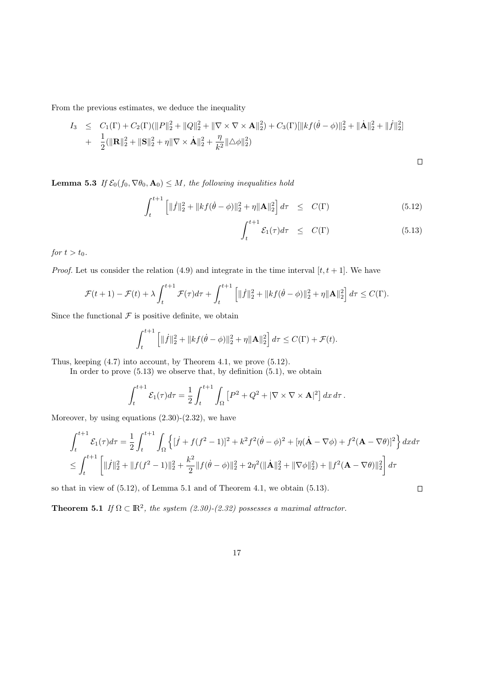From the previous estimates, we deduce the inequality

$$
I_3 \leq C_1(\Gamma) + C_2(\Gamma)(\|P\|_2^2 + \|Q\|_2^2 + \|\nabla \times \nabla \times \mathbf{A}\|_2^2) + C_3(\Gamma)[\|kf(\dot{\theta} - \phi)\|_2^2 + \|\dot{\mathbf{A}}\|_2^2 + \|f\|_2^2]
$$
  
+ 
$$
\frac{1}{2}(\|\mathbf{R}\|_2^2 + \|\mathbf{S}\|_2^2 + \eta \|\nabla \times \dot{\mathbf{A}}\|_2^2 + \frac{\eta}{k^2} \|\Delta \phi\|_2^2)
$$

 $\Box$ 

 $\Box$ 

**Lemma 5.3** If  $\mathcal{E}_0(f_0, \nabla\theta_0, \mathbf{A}_0) \leq M$ , the following inequalities hold

$$
\int_{t}^{t+1} \left[ \| \dot{f} \|_{2}^{2} + \| k f(\dot{\theta} - \phi) \|_{2}^{2} + \eta \| \mathbf{A} \|_{2}^{2} \right] d\tau \leq C(\Gamma) \tag{5.12}
$$

$$
\int_{t}^{t+1} \mathcal{E}_1(\tau) d\tau \leq C(\Gamma) \tag{5.13}
$$

for  $t > t_0$ .

*Proof.* Let us consider the relation (4.9) and integrate in the time interval  $[t, t + 1]$ . We have

$$
\mathcal{F}(t+1) - \mathcal{F}(t) + \lambda \int_{t}^{t+1} \mathcal{F}(\tau) d\tau + \int_{t}^{t+1} \left[ ||\dot{f}||_{2}^{2} + ||kf(\dot{\theta} - \phi)||_{2}^{2} + \eta ||\mathbf{A}||_{2}^{2} \right] d\tau \leq C(\Gamma).
$$

Since the functional  $\mathcal F$  is positive definite, we obtain

$$
\int_{t}^{t+1} \left[ \| \dot{f} \|_{2}^{2} + \| k f(\dot{\theta} - \phi) \|_{2}^{2} + \eta \| \mathbf{A} \|_{2}^{2} \right] d\tau \leq C(\Gamma) + \mathcal{F}(t).
$$

Thus, keeping (4.7) into account, by Theorem 4.1, we prove (5.12).

In order to prove  $(5.13)$  we observe that, by definition  $(5.1)$ , we obtain

$$
\int_{t}^{t+1} \mathcal{E}_1(\tau) d\tau = \frac{1}{2} \int_{t}^{t+1} \int_{\Omega} \left[ P^2 + Q^2 + |\nabla \times \nabla \times \mathbf{A}|^2 \right] dx d\tau.
$$

Moreover, by using equations  $(2.30)-(2.32)$ , we have

$$
\int_{t}^{t+1} \mathcal{E}_{1}(\tau) d\tau = \frac{1}{2} \int_{t}^{t+1} \int_{\Omega} \left\{ [\dot{f} + f(f^{2} - 1)]^{2} + k^{2} f^{2} (\dot{\theta} - \phi)^{2} + [\eta (\dot{\mathbf{A}} - \nabla \phi) + f^{2} (\mathbf{A} - \nabla \theta)]^{2} \right\} d\tau d\tau
$$
  

$$
\leq \int_{t}^{t+1} \left[ \| \dot{f} \|_{2}^{2} + \| f(f^{2} - 1) \|_{2}^{2} + \frac{k^{2}}{2} \| f(\dot{\theta} - \phi) \|_{2}^{2} + 2\eta^{2} (\|\dot{\mathbf{A}}\|_{2}^{2} + \|\nabla \phi\|_{2}^{2}) + \| f^{2} (\mathbf{A} - \nabla \theta) \|_{2}^{2} \right] d\tau
$$

so that in view of (5.12), of Lemma 5.1 and of Theorem 4.1, we obtain (5.13).

**Theorem 5.1** If  $\Omega \subset \mathbb{R}^2$ , the system (2.30)-(2.32) possesses a maximal attractor.

$$
17\,
$$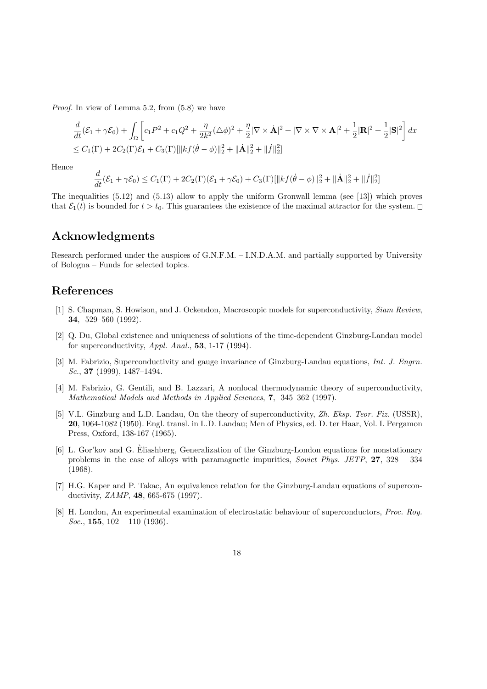Proof. In view of Lemma 5.2, from (5.8) we have

$$
\frac{d}{dt}(\mathcal{E}_1 + \gamma \mathcal{E}_0) + \int_{\Omega} \left[ c_1 P^2 + c_1 Q^2 + \frac{\eta}{2k^2} (\Delta \phi)^2 + \frac{\eta}{2} |\nabla \times \dot{\mathbf{A}}|^2 + |\nabla \times \nabla \times \mathbf{A}|^2 + \frac{1}{2} |\mathbf{R}|^2 + \frac{1}{2} |\mathbf{S}|^2 \right] dx
$$
\n
$$
\leq C_1(\Gamma) + 2C_2(\Gamma) \mathcal{E}_1 + C_3(\Gamma) [\|kf(\dot{\theta} - \phi)\|_2^2 + \|\dot{\mathbf{A}}\|_2^2 + \|f\|_2^2]
$$

Hence

$$
\frac{d}{dt}(\mathcal{E}_1 + \gamma \mathcal{E}_0) \le C_1(\Gamma) + 2C_2(\Gamma)(\mathcal{E}_1 + \gamma \mathcal{E}_0) + C_3(\Gamma)[\|kf(\dot{\theta} - \phi)\|_2^2 + \|\dot{\mathbf{A}}\|_2^2 + \|f\|_2^2]
$$

The inequalities (5.12) and (5.13) allow to apply the uniform Gronwall lemma (see [13]) which proves that  $\mathcal{E}_1(t)$  is bounded for  $t > t_0$ . This guarantees the existence of the maximal attractor for the system.  $\Box$ 

#### Acknowledgments

Research performed under the auspices of G.N.F.M. – I.N.D.A.M. and partially supported by University of Bologna – Funds for selected topics.

### References

- [1] S. Chapman, S. Howison, and J. Ockendon, Macroscopic models for superconductivity, Siam Review, 34, 529–560 (1992).
- [2] Q. Du, Global existence and uniqueness of solutions of the time-dependent Ginzburg-Landau model for superconductivity,  $Appl. Anal., 53, 1-17 (1994).$
- [3] M. Fabrizio, Superconductivity and gauge invariance of Ginzburg-Landau equations, Int. J. Engrn. Sc., **37** (1999), 1487–1494.
- [4] M. Fabrizio, G. Gentili, and B. Lazzari, A nonlocal thermodynamic theory of superconductivity, Mathematical Models and Methods in Applied Sciences, 7, 345–362 (1997).
- [5] V.L. Ginzburg and L.D. Landau, On the theory of superconductivity, Zh. Eksp. Teor. Fiz. (USSR), 20, 1064-1082 (1950). Engl. transl. in L.D. Landau; Men of Physics, ed. D. ter Haar, Vol. I. Pergamon Press, Oxford, 138-167 (1965).
- [6] L. Gor'kov and G. Eliashberg, Generalization of the Ginzburg-London equations for nonstationary ` problems in the case of alloys with paramagnetic impurities, Soviet Phys. JETP, 27, 328 – 334 (1968).
- [7] H.G. Kaper and P. Takac, An equivalence relation for the Ginzburg-Landau equations of superconductivity, ZAMP, 48, 665-675 (1997).
- [8] H. London, An experimental examination of electrostatic behaviour of superconductors, Proc. Roy. Soc., 155,  $102 - 110$  (1936).
	- 18